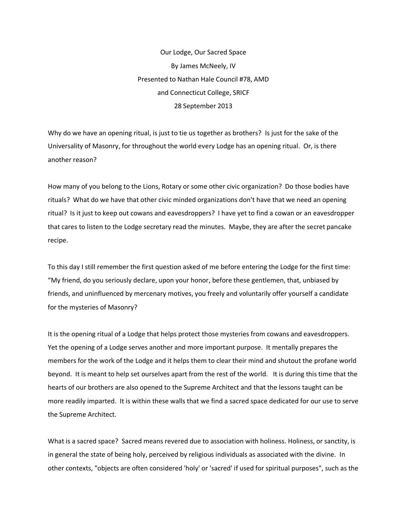Our Lodge, Our Sacred Space By James McNeely, IV Presented to Nathan Hale Council #78, AMD and Connecticut College, SRICF 28 September 2013

Why do we have an opening ritual, is just to tie us together as brothers? Is just for the sake of the Universality of Masonry, for throughout the world every Lodge has an opening ritual. Or, is there another reason?

How many of you belong to the Lions, Rotary or some other civic organization? Do those bodies have rituals? What do we have that other civic minded organizations don't have that we need an opening ritual? Is it just to keep out cowans and eavesdroppers? I have yet to find a cowan or an eavesdropper that cares to listen to the Lodge secretary read the minutes. Maybe, they are after the secret pancake recipe.

To this day I still remember the first question asked of me before entering the Lodge for the first time: "My friend, do you seriously declare, upon your honor, before these gentlemen, that, unbiased by friends, and uninfluenced by mercenary motives, you freely and voluntarily offer yourself a candidate for the mysteries of Masonry?

It is the opening ritual of a Lodge that helps protect those mysteries from cowans and eavesdroppers. Yet the opening of a Lodge serves another and more important purpose. It mentally prepares the members for the work of the Lodge and it helps them to clear their mind and shutout the profane world beyond. It is meant to help set ourselves apart from the rest of the world. It is during this time that the hearts of our brothers are also opened to the Supreme Architect and that the lessons taught can be more readily imparted. It is within these walls that we find a sacred space dedicated for our use to serve the Supreme Architect.

What is a sacred space? Sacred means revered due to association with holiness. Holiness, or sanctity, is in general the state of being holy, perceived by religious individuals as associated with the divine. In other contexts, "objects are often considered 'holy' or 'sacred' if used for spiritual purposes", such as the